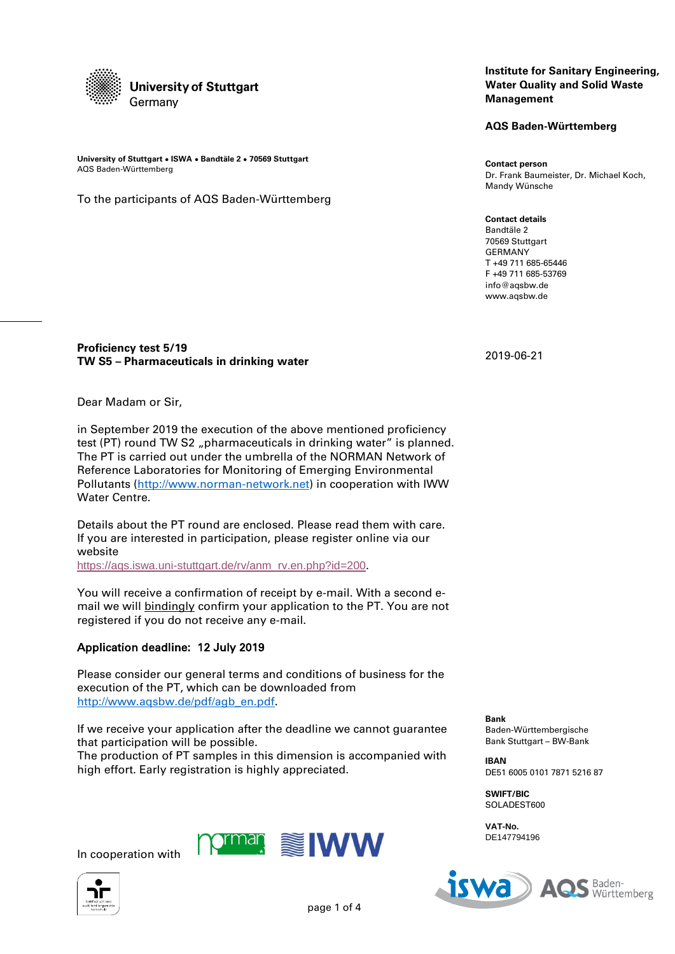

**University of Stuttgart ● ISWA ● Bandtäle 2 ● 70569 Stuttgart** AQS Baden-Württemberg

To the participants of AQS Baden-Württemberg

### **Institute for Sanitary Engineering, Water Quality and Solid Waste Management**

**AQS Baden-Württemberg**

**Contact person** Dr. Frank Baumeister, Dr. Michael Koch, Mandy Wünsche

**Contact details** Bandtäle 2 70569 Stuttgart GERMANY T +49 711 685-65446 F +49 711 685-53769 info@aqsbw.de www.aqsbw.de

# **Proficiency test 5/19 TW S5 – Pharmaceuticals in drinking water**

Dear Madam or Sir,

in September 2019 the execution of the above mentioned proficiency test (PT) round TW S2 "pharmaceuticals in drinking water" is planned. The PT is carried out under the umbrella of the NORMAN Network of Reference Laboratories for Monitoring of Emerging Environmental Pollutants [\(http://www.norman-network.net\)](http://www.norman-network.net/) in cooperation with IWW Water Centre.

Details about the PT round are enclosed. Please read them with care. If you are interested in participation, please register online via our website

https://aqs.iswa.uni-stuttgart.de/ry/anm\_rv.en.php?id=200.

You will receive a confirmation of receipt by e-mail. With a second email we will bindingly confirm your application to the PT. You are not registered if you do not receive any e-mail.

# Application deadline: 12 July 2019

Please consider our general terms and conditions of business for the execution of the PT, which can be downloaded from [http://www.aqsbw.de/pdf/agb\\_en.pdf.](http://www.aqsbw.de/pdf/agb_en.pdf)

If we receive your application after the deadline we cannot guarantee that participation will be possible.

The production of PT samples in this dimension is accompanied with high effort. Early registration is highly appreciated.

> **NWW** ırman



In cooperation with

iswa Baden- $\boldsymbol{\Delta}$ Württemberg

2019-06-21

**Bank** Baden-Württembergische Bank Stuttgart – BW-Bank

**IBAN** DE51 6005 0101 7871 5216 87

**SWIFT/BIC** SOLADEST600

**VAT-No.** DE147794196

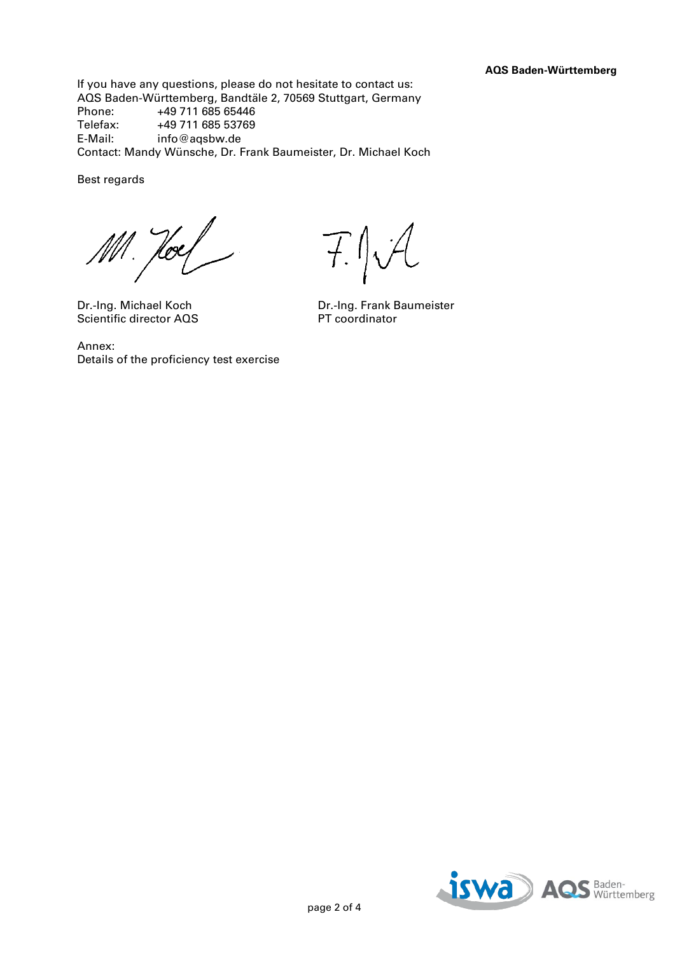If you have any questions, please do not hesitate to contact us: AQS Baden-Württemberg, Bandtäle 2, 70569 Stuttgart, Germany Phone: +49 711 685 65446<br>Telefax: +49 711 685 53769 Telefax: +49 711 685 53769<br>E-Mail: info@agsbw.de info@aqsbw.de Contact: Mandy Wünsche, Dr. Frank Baumeister, Dr. Michael Koch

Best regards

Ml. Hoel

Scientific director AQS

F.J.A

Dr.-Ing. Michael Koch Dr.-Ing. Frank Baumeister

Annex: Details of the proficiency test exercise

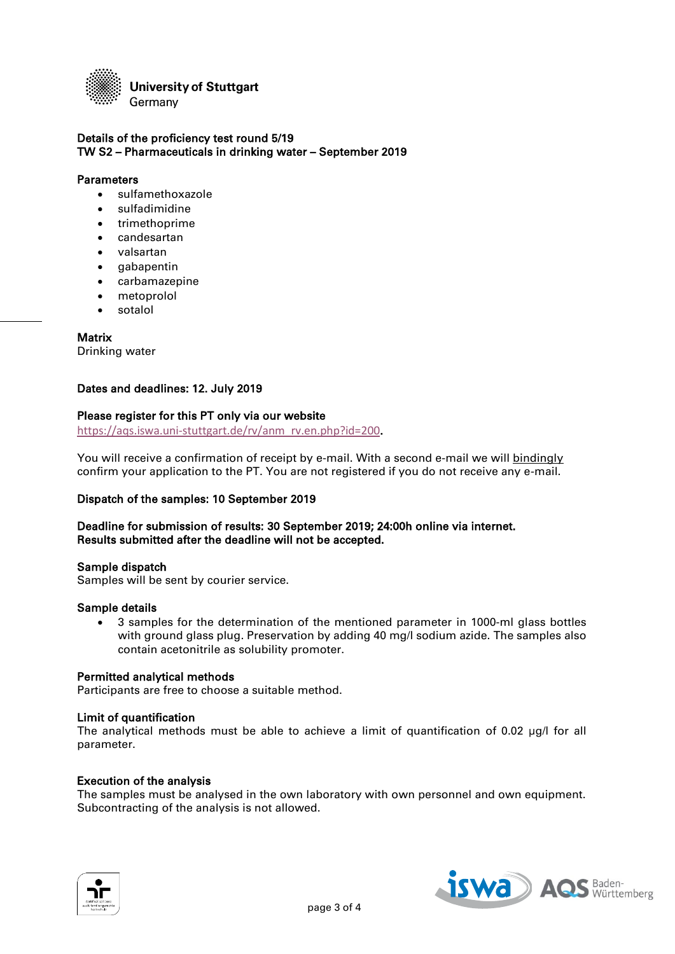

### Details of the proficiency test round 5/19 TW S2 – Pharmaceuticals in drinking water – September 2019

#### **Parameters**

- sulfamethoxazole
- sulfadimidine
- trimethoprime
- candesartan
- valsartan
- gabapentin
- carbamazepine
- metoprolol
- sotalol

### **Matrix**

Drinking water

# Dates and deadlines: 12. July 2019

### Please register for this PT only via our website

[https://aqs.iswa.uni-stuttgart.de/rv/anm\\_rv.en.php?id=200](https://aqs.iswa.uni-stuttgart.de/rv/anm_rv.en.php?id=200).

You will receive a confirmation of receipt by e-mail. With a second e-mail we will bindingly confirm your application to the PT. You are not registered if you do not receive any e-mail.

# Dispatch of the samples: 10 September 2019

# Deadline for submission of results: 30 September 2019; 24:00h online via internet. Results submitted after the deadline will not be accepted.

#### Sample dispatch

Samples will be sent by courier service.

#### Sample details

 3 samples for the determination of the mentioned parameter in 1000-ml glass bottles with ground glass plug. Preservation by adding 40 mg/l sodium azide. The samples also contain acetonitrile as solubility promoter.

#### Permitted analytical methods

Participants are free to choose a suitable method.

#### Limit of quantification

The analytical methods must be able to achieve a limit of quantification of 0.02 ug/l for all parameter.

#### Execution of the analysis

The samples must be analysed in the own laboratory with own personnel and own equipment. Subcontracting of the analysis is not allowed.